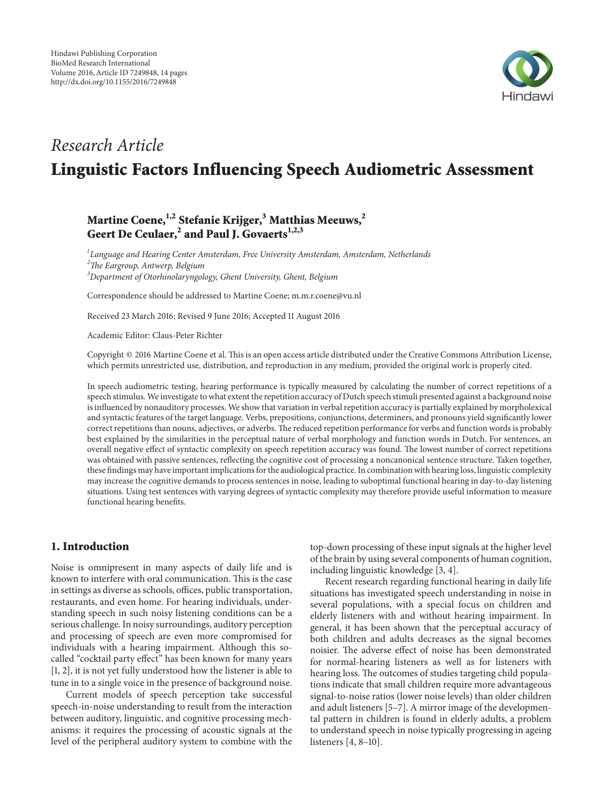

# *Research Article* **Linguistic Factors Influencing Speech Audiometric Assessment**

# **Martine Coene,1,2 Stefanie Krijger,3 Matthias Meeuws,2 Geert De Ceulaer,<sup>2</sup> and Paul J. Govaerts**<sup>1,2,3</sup>

*1 Language and Hearing Center Amsterdam, Free University Amsterdam, Amsterdam, Netherlands 2 The Eargroup, Antwerp, Belgium 3 Department of Otorhinolaryngology, Ghent University, Ghent, Belgium*

Correspondence should be addressed to Martine Coene; m.m.r.coene@vu.nl

Received 23 March 2016; Revised 9 June 2016; Accepted 11 August 2016

Academic Editor: Claus-Peter Richter

Copyright © 2016 Martine Coene et al. This is an open access article distributed under the Creative Commons Attribution License, which permits unrestricted use, distribution, and reproduction in any medium, provided the original work is properly cited.

In speech audiometric testing, hearing performance is typically measured by calculating the number of correct repetitions of a speech stimulus. We investigate to what extent the repetition accuracy of Dutch speech stimuli presented against a background noise is influenced by nonauditory processes. We show that variation in verbal repetition accuracy is partially explained by morpholexical and syntactic features of the target language. Verbs, prepositions, conjunctions, determiners, and pronouns yield significantly lower correct repetitions than nouns, adjectives, or adverbs. The reduced repetition performance for verbs and function words is probably best explained by the similarities in the perceptual nature of verbal morphology and function words in Dutch. For sentences, an overall negative effect of syntactic complexity on speech repetition accuracy was found. The lowest number of correct repetitions was obtained with passive sentences, reflecting the cognitive cost of processing a noncanonical sentence structure. Taken together, these findings may have important implications for the audiological practice. In combination with hearing loss, linguistic complexity may increase the cognitive demands to process sentences in noise, leading to suboptimal functional hearing in day-to-day listening situations. Using test sentences with varying degrees of syntactic complexity may therefore provide useful information to measure functional hearing benefits.

### **1. Introduction**

Noise is omnipresent in many aspects of daily life and is known to interfere with oral communication. This is the case in settings as diverse as schools, offices, public transportation, restaurants, and even home. For hearing individuals, understanding speech in such noisy listening conditions can be a serious challenge. In noisy surroundings, auditory perception and processing of speech are even more compromised for individuals with a hearing impairment. Although this socalled "cocktail party effect" has been known for many years [1, 2], it is not yet fully understood how the listener is able to tune in to a single voice in the presence of background noise.

Current models of speech perception take successful speech-in-noise understanding to result from the interaction between auditory, linguistic, and cognitive processing mechanisms: it requires the processing of acoustic signals at the level of the peripheral auditory system to combine with the

top-down processing of these input signals at the higher level of the brain by using several components of human cognition, including linguistic knowledge [3, 4].

Recent research regarding functional hearing in daily life situations has investigated speech understanding in noise in several populations, with a special focus on children and elderly listeners with and without hearing impairment. In general, it has been shown that the perceptual accuracy of both children and adults decreases as the signal becomes noisier. The adverse effect of noise has been demonstrated for normal-hearing listeners as well as for listeners with hearing loss. The outcomes of studies targeting child populations indicate that small children require more advantageous signal-to-noise ratios (lower noise levels) than older children and adult listeners [5–7]. A mirror image of the developmental pattern in children is found in elderly adults, a problem to understand speech in noise typically progressing in ageing listeners [4, 8–10].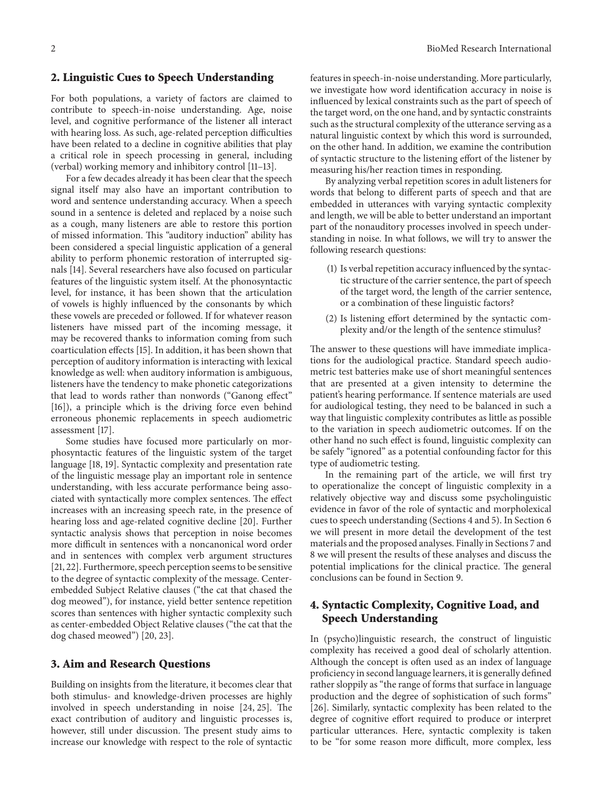# **2. Linguistic Cues to Speech Understanding**

For both populations, a variety of factors are claimed to contribute to speech-in-noise understanding. Age, noise level, and cognitive performance of the listener all interact with hearing loss. As such, age-related perception difficulties have been related to a decline in cognitive abilities that play a critical role in speech processing in general, including (verbal) working memory and inhibitory control [11–13].

For a few decades already it has been clear that the speech signal itself may also have an important contribution to word and sentence understanding accuracy. When a speech sound in a sentence is deleted and replaced by a noise such as a cough, many listeners are able to restore this portion of missed information. This "auditory induction" ability has been considered a special linguistic application of a general ability to perform phonemic restoration of interrupted signals [14]. Several researchers have also focused on particular features of the linguistic system itself. At the phonosyntactic level, for instance, it has been shown that the articulation of vowels is highly influenced by the consonants by which these vowels are preceded or followed. If for whatever reason listeners have missed part of the incoming message, it may be recovered thanks to information coming from such coarticulation effects [15]. In addition, it has been shown that perception of auditory information is interacting with lexical knowledge as well: when auditory information is ambiguous, listeners have the tendency to make phonetic categorizations that lead to words rather than nonwords ("Ganong effect" [16]), a principle which is the driving force even behind erroneous phonemic replacements in speech audiometric assessment [17].

Some studies have focused more particularly on morphosyntactic features of the linguistic system of the target language [18, 19]. Syntactic complexity and presentation rate of the linguistic message play an important role in sentence understanding, with less accurate performance being associated with syntactically more complex sentences. The effect increases with an increasing speech rate, in the presence of hearing loss and age-related cognitive decline [20]. Further syntactic analysis shows that perception in noise becomes more difficult in sentences with a noncanonical word order and in sentences with complex verb argument structures [21, 22]. Furthermore, speech perception seems to be sensitive to the degree of syntactic complexity of the message. Centerembedded Subject Relative clauses ("the cat that chased the dog meowed"), for instance, yield better sentence repetition scores than sentences with higher syntactic complexity such as center-embedded Object Relative clauses ("the cat that the dog chased meowed") [20, 23].

#### **3. Aim and Research Questions**

Building on insights from the literature, it becomes clear that both stimulus- and knowledge-driven processes are highly involved in speech understanding in noise [24, 25]. The exact contribution of auditory and linguistic processes is, however, still under discussion. The present study aims to increase our knowledge with respect to the role of syntactic

features in speech-in-noise understanding. More particularly, we investigate how word identification accuracy in noise is influenced by lexical constraints such as the part of speech of the target word, on the one hand, and by syntactic constraints such as the structural complexity of the utterance serving as a natural linguistic context by which this word is surrounded, on the other hand. In addition, we examine the contribution of syntactic structure to the listening effort of the listener by measuring his/her reaction times in responding.

By analyzing verbal repetition scores in adult listeners for words that belong to different parts of speech and that are embedded in utterances with varying syntactic complexity and length, we will be able to better understand an important part of the nonauditory processes involved in speech understanding in noise. In what follows, we will try to answer the following research questions:

- (1) Is verbal repetition accuracy influenced by the syntactic structure of the carrier sentence, the part of speech of the target word, the length of the carrier sentence, or a combination of these linguistic factors?
- (2) Is listening effort determined by the syntactic complexity and/or the length of the sentence stimulus?

The answer to these questions will have immediate implications for the audiological practice. Standard speech audiometric test batteries make use of short meaningful sentences that are presented at a given intensity to determine the patient's hearing performance. If sentence materials are used for audiological testing, they need to be balanced in such a way that linguistic complexity contributes as little as possible to the variation in speech audiometric outcomes. If on the other hand no such effect is found, linguistic complexity can be safely "ignored" as a potential confounding factor for this type of audiometric testing.

In the remaining part of the article, we will first try to operationalize the concept of linguistic complexity in a relatively objective way and discuss some psycholinguistic evidence in favor of the role of syntactic and morpholexical cues to speech understanding (Sections 4 and 5). In Section 6 we will present in more detail the development of the test materials and the proposed analyses. Finally in Sections 7 and 8 we will present the results of these analyses and discuss the potential implications for the clinical practice. The general conclusions can be found in Section 9.

# **4. Syntactic Complexity, Cognitive Load, and Speech Understanding**

In (psycho)linguistic research, the construct of linguistic complexity has received a good deal of scholarly attention. Although the concept is often used as an index of language proficiency in second language learners, it is generally defined rather sloppily as "the range of forms that surface in language production and the degree of sophistication of such forms" [26]. Similarly, syntactic complexity has been related to the degree of cognitive effort required to produce or interpret particular utterances. Here, syntactic complexity is taken to be "for some reason more difficult, more complex, less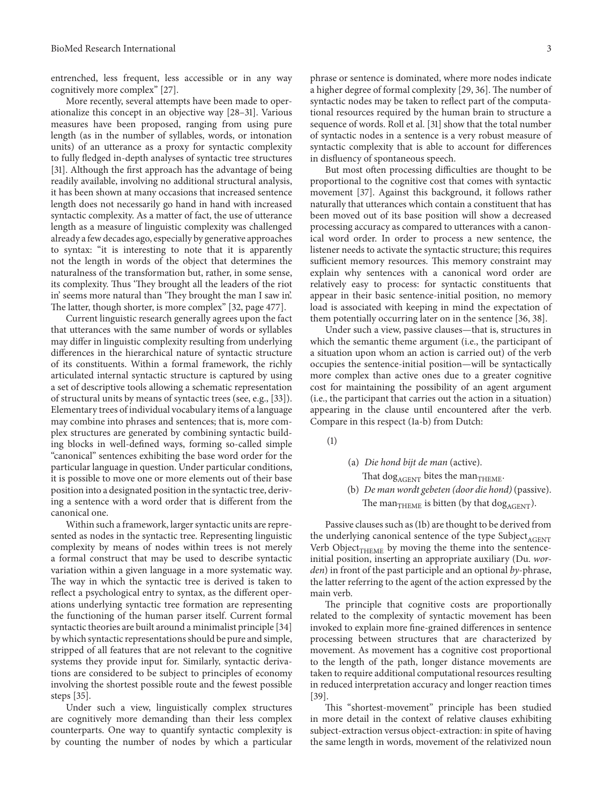entrenched, less frequent, less accessible or in any way cognitively more complex" [27].

More recently, several attempts have been made to operationalize this concept in an objective way [28–31]. Various measures have been proposed, ranging from using pure length (as in the number of syllables, words, or intonation units) of an utterance as a proxy for syntactic complexity to fully fledged in-depth analyses of syntactic tree structures [31]. Although the first approach has the advantage of being readily available, involving no additional structural analysis, it has been shown at many occasions that increased sentence length does not necessarily go hand in hand with increased syntactic complexity. As a matter of fact, the use of utterance length as a measure of linguistic complexity was challenged already a few decades ago, especially by generative approaches to syntax: "it is interesting to note that it is apparently not the length in words of the object that determines the naturalness of the transformation but, rather, in some sense, its complexity. Thus 'They brought all the leaders of the riot in' seems more natural than 'They brought the man I saw in'. The latter, though shorter, is more complex" [32, page 477].

Current linguistic research generally agrees upon the fact that utterances with the same number of words or syllables may differ in linguistic complexity resulting from underlying differences in the hierarchical nature of syntactic structure of its constituents. Within a formal framework, the richly articulated internal syntactic structure is captured by using a set of descriptive tools allowing a schematic representation of structural units by means of syntactic trees (see, e.g., [33]). Elementary trees of individual vocabulary items of a language may combine into phrases and sentences; that is, more complex structures are generated by combining syntactic building blocks in well-defined ways, forming so-called simple "canonical" sentences exhibiting the base word order for the particular language in question. Under particular conditions, it is possible to move one or more elements out of their base position into a designated position in the syntactic tree, deriving a sentence with a word order that is different from the canonical one.

Within such a framework, larger syntactic units are represented as nodes in the syntactic tree. Representing linguistic complexity by means of nodes within trees is not merely a formal construct that may be used to describe syntactic variation within a given language in a more systematic way. The way in which the syntactic tree is derived is taken to reflect a psychological entry to syntax, as the different operations underlying syntactic tree formation are representing the functioning of the human parser itself. Current formal syntactic theories are built around a minimalist principle [34] by which syntactic representations should be pure and simple, stripped of all features that are not relevant to the cognitive systems they provide input for. Similarly, syntactic derivations are considered to be subject to principles of economy involving the shortest possible route and the fewest possible steps [35].

Under such a view, linguistically complex structures are cognitively more demanding than their less complex counterparts. One way to quantify syntactic complexity is by counting the number of nodes by which a particular

phrase or sentence is dominated, where more nodes indicate a higher degree of formal complexity [29, 36]. The number of syntactic nodes may be taken to reflect part of the computational resources required by the human brain to structure a sequence of words. Roll et al. [31] show that the total number of syntactic nodes in a sentence is a very robust measure of syntactic complexity that is able to account for differences in disfluency of spontaneous speech.

But most often processing difficulties are thought to be proportional to the cognitive cost that comes with syntactic movement [37]. Against this background, it follows rather naturally that utterances which contain a constituent that has been moved out of its base position will show a decreased processing accuracy as compared to utterances with a canonical word order. In order to process a new sentence, the listener needs to activate the syntactic structure; this requires sufficient memory resources. This memory constraint may explain why sentences with a canonical word order are relatively easy to process: for syntactic constituents that appear in their basic sentence-initial position, no memory load is associated with keeping in mind the expectation of them potentially occurring later on in the sentence [36, 38].

Under such a view, passive clauses—that is, structures in which the semantic theme argument (i.e., the participant of a situation upon whom an action is carried out) of the verb occupies the sentence-initial position—will be syntactically more complex than active ones due to a greater cognitive cost for maintaining the possibility of an agent argument (i.e., the participant that carries out the action in a situation) appearing in the clause until encountered after the verb. Compare in this respect (1a-b) from Dutch:

(1)

(a) *Die hond bijt de man* (active).

That  $\log_{\rm AGENT}$  bites the man<sub>THEME</sub>.

(b) *De man wordt gebeten (door die hond)* (passive). The man $_{\text{THEME}}$  is bitten (by that dog  $_{\text{AGENT}}$ ).

Passive clauses such as (1b) are thought to be derived from the underlying canonical sentence of the type Subject<sub>AGENT</sub> Verb Object $_{\text{THEME}}$  by moving the theme into the sentenceinitial position, inserting an appropriate auxiliary (Du. *worden*) in front of the past participle and an optional *by*-phrase, the latter referring to the agent of the action expressed by the main verb.

The principle that cognitive costs are proportionally related to the complexity of syntactic movement has been invoked to explain more fine-grained differences in sentence processing between structures that are characterized by movement. As movement has a cognitive cost proportional to the length of the path, longer distance movements are taken to require additional computational resources resulting in reduced interpretation accuracy and longer reaction times [39].

This "shortest-movement" principle has been studied in more detail in the context of relative clauses exhibiting subject-extraction versus object-extraction: in spite of having the same length in words, movement of the relativized noun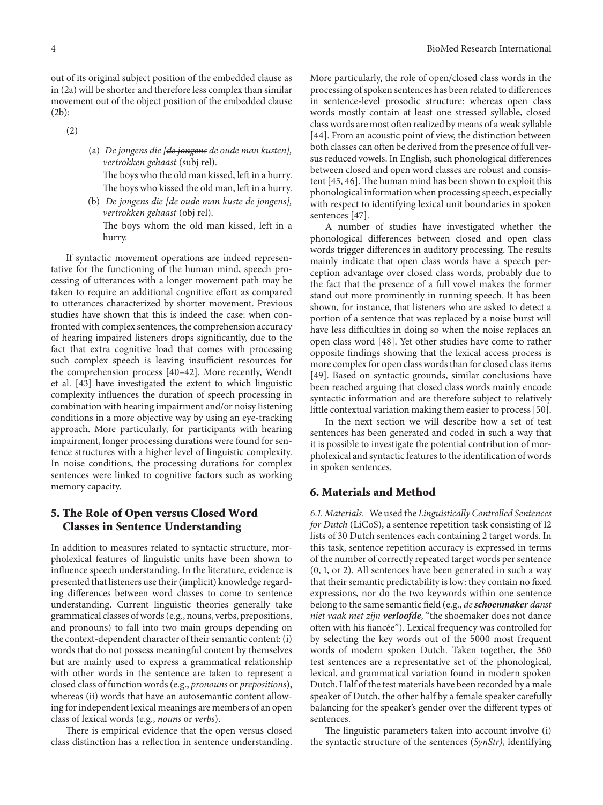out of its original subject position of the embedded clause as in (2a) will be shorter and therefore less complex than similar movement out of the object position of the embedded clause (2b):

(2)

(a) *De jongens die [de jongens de oude man kusten], vertrokken gehaast* (subj rel).

The boys who the old man kissed, left in a hurry. The boys who kissed the old man, left in a hurry.

(b) *De jongens die [de oude man kuste de jongens], vertrokken gehaast* (obj rel).

The boys whom the old man kissed, left in a hurry.

If syntactic movement operations are indeed representative for the functioning of the human mind, speech processing of utterances with a longer movement path may be taken to require an additional cognitive effort as compared to utterances characterized by shorter movement. Previous studies have shown that this is indeed the case: when confronted with complex sentences, the comprehension accuracy of hearing impaired listeners drops significantly, due to the fact that extra cognitive load that comes with processing such complex speech is leaving insufficient resources for the comprehension process [40–42]. More recently, Wendt et al. [43] have investigated the extent to which linguistic complexity influences the duration of speech processing in combination with hearing impairment and/or noisy listening conditions in a more objective way by using an eye-tracking approach. More particularly, for participants with hearing impairment, longer processing durations were found for sentence structures with a higher level of linguistic complexity. In noise conditions, the processing durations for complex sentences were linked to cognitive factors such as working memory capacity.

# **5. The Role of Open versus Closed Word Classes in Sentence Understanding**

In addition to measures related to syntactic structure, morpholexical features of linguistic units have been shown to influence speech understanding. In the literature, evidence is presented that listeners use their (implicit) knowledge regarding differences between word classes to come to sentence understanding. Current linguistic theories generally take grammatical classes of words (e.g., nouns, verbs, prepositions, and pronouns) to fall into two main groups depending on the context-dependent character of their semantic content: (i) words that do not possess meaningful content by themselves but are mainly used to express a grammatical relationship with other words in the sentence are taken to represent a closed class of function words (e.g., *pronouns* or *prepositions*), whereas (ii) words that have an autosemantic content allowing for independent lexical meanings are members of an open class of lexical words (e.g., *nouns* or *verbs*).

There is empirical evidence that the open versus closed class distinction has a reflection in sentence understanding.

More particularly, the role of open/closed class words in the processing of spoken sentences has been related to differences in sentence-level prosodic structure: whereas open class words mostly contain at least one stressed syllable, closed class words are most often realized by means of a weak syllable [44]. From an acoustic point of view, the distinction between both classes can often be derived from the presence of full versus reduced vowels. In English, such phonological differences between closed and open word classes are robust and consistent [45, 46]. The human mind has been shown to exploit this phonological information when processing speech, especially with respect to identifying lexical unit boundaries in spoken sentences [47].

A number of studies have investigated whether the phonological differences between closed and open class words trigger differences in auditory processing. The results mainly indicate that open class words have a speech perception advantage over closed class words, probably due to the fact that the presence of a full vowel makes the former stand out more prominently in running speech. It has been shown, for instance, that listeners who are asked to detect a portion of a sentence that was replaced by a noise burst will have less difficulties in doing so when the noise replaces an open class word [48]. Yet other studies have come to rather opposite findings showing that the lexical access process is more complex for open class words than for closed class items [49]. Based on syntactic grounds, similar conclusions have been reached arguing that closed class words mainly encode syntactic information and are therefore subject to relatively little contextual variation making them easier to process [50].

In the next section we will describe how a set of test sentences has been generated and coded in such a way that it is possible to investigate the potential contribution of morpholexical and syntactic features to the identification of words in spoken sentences.

#### **6. Materials and Method**

*6.1. Materials.* We used the *Linguistically Controlled Sentences for Dutch* (LiCoS), a sentence repetition task consisting of 12 lists of 30 Dutch sentences each containing 2 target words. In this task, sentence repetition accuracy is expressed in terms of the number of correctly repeated target words per sentence (0, 1, or 2). All sentences have been generated in such a way that their semantic predictability is low: they contain no fixed expressions, nor do the two keywords within one sentence belong to the same semantic field (e.g., *de schoenmaker danst niet vaak met zijn verloofde*, "the shoemaker does not dance often with his fiancée"). Lexical frequency was controlled for by selecting the key words out of the 5000 most frequent words of modern spoken Dutch. Taken together, the 360 test sentences are a representative set of the phonological, lexical, and grammatical variation found in modern spoken Dutch. Half of the test materials have been recorded by a male speaker of Dutch, the other half by a female speaker carefully balancing for the speaker's gender over the different types of sentences.

The linguistic parameters taken into account involve (i) the syntactic structure of the sentences (*SynStr)*, identifying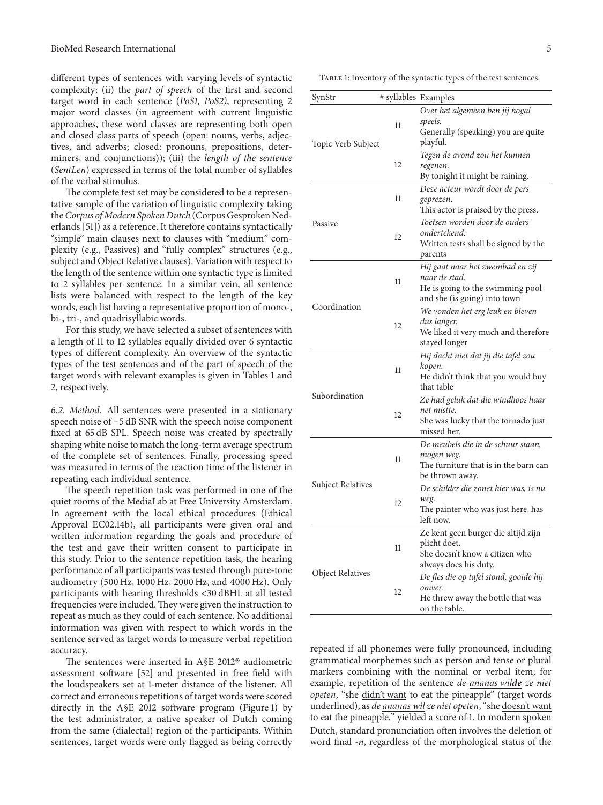different types of sentences with varying levels of syntactic complexity; (ii) the *part of speech* of the first and second target word in each sentence (*PoS1, PoS2)*, representing 2 major word classes (in agreement with current linguistic approaches, these word classes are representing both open and closed class parts of speech (open: nouns, verbs, adjectives, and adverbs; closed: pronouns, prepositions, determiners, and conjunctions)); (iii) the *length of the sentence* (*SentLen*) expressed in terms of the total number of syllables of the verbal stimulus.

The complete test set may be considered to be a representative sample of the variation of linguistic complexity taking the*Corpus of Modern Spoken Dutch* (Corpus Gesproken Nederlands [51]) as a reference. It therefore contains syntactically "simple" main clauses next to clauses with "medium" complexity (e.g., Passives) and "fully complex" structures (e.g., subject and Object Relative clauses). Variation with respect to the length of the sentence within one syntactic type is limited to 2 syllables per sentence. In a similar vein, all sentence lists were balanced with respect to the length of the key words, each list having a representative proportion of mono-, bi-, tri-, and quadrisyllabic words.

For this study, we have selected a subset of sentences with a length of 11 to 12 syllables equally divided over 6 syntactic types of different complexity. An overview of the syntactic types of the test sentences and of the part of speech of the target words with relevant examples is given in Tables 1 and 2, respectively.

*6.2. Method.* All sentences were presented in a stationary speech noise of −5 dB SNR with the speech noise component fixed at 65 dB SPL. Speech noise was created by spectrally shaping white noise to match the long-term average spectrum of the complete set of sentences. Finally, processing speed was measured in terms of the reaction time of the listener in repeating each individual sentence.

The speech repetition task was performed in one of the quiet rooms of the MediaLab at Free University Amsterdam. In agreement with the local ethical procedures (Ethical Approval EC02.14b), all participants were given oral and written information regarding the goals and procedure of the test and gave their written consent to participate in this study. Prior to the sentence repetition task, the hearing performance of all participants was tested through pure-tone audiometry (500 Hz, 1000 Hz, 2000 Hz, and 4000 Hz). Only participants with hearing thresholds <30 dBHL at all tested frequencies were included.They were given the instruction to repeat as much as they could of each sentence. No additional information was given with respect to which words in the sentence served as target words to measure verbal repetition accuracy.

The sentences were inserted in A\$E 2012® audiometric assessment software [52] and presented in free field with the loudspeakers set at 1-meter distance of the listener. All correct and erroneous repetitions of target words were scored directly in the A§E 2012 software program (Figure 1) by the test administrator, a native speaker of Dutch coming from the same (dialectal) region of the participants. Within sentences, target words were only flagged as being correctly

| SynStr                  | # syllables Examples |                                                                                                                       |
|-------------------------|----------------------|-----------------------------------------------------------------------------------------------------------------------|
| Topic Verb Subject      | 11                   | Over het algemeen ben jij nogal<br>speels.<br>Generally (speaking) you are quite<br>playful.                          |
|                         | 12                   | Tegen de avond zou het kunnen<br>regenen.<br>By tonight it might be raining.                                          |
|                         | 11                   | Deze acteur wordt door de pers<br>geprezen.<br>This actor is praised by the press.                                    |
| Passive                 | 12                   | Toetsen worden door de ouders<br>ondertekend.<br>Written tests shall be signed by the<br>parents                      |
|                         | 11                   | Hij gaat naar het zwembad en zij<br>naar de stad.<br>He is going to the swimming pool<br>and she (is going) into town |
| Coordination            | 12                   | We vonden het erg leuk en bleven<br>dus langer.<br>We liked it very much and therefore<br>stayed longer               |
|                         | 11                   | Hij dacht niet dat jij die tafel zou<br>kopen.<br>He didn't think that you would buy<br>that table                    |
| Subordination           | 12                   | Ze had geluk dat die windhoos haar<br>net mistte.<br>She was lucky that the tornado just<br>missed her.               |
|                         | 11                   | De meubels die in de schuur staan,<br>mogen weg.<br>The furniture that is in the barn can<br>be thrown away.          |
| Subject Relatives       | 12                   | De schilder die zonet hier was, is nu<br>weg.<br>The painter who was just here, has<br>left now.                      |
|                         | 11                   | Ze kent geen burger die altijd zijn<br>plicht doet.<br>She doesn't know a citizen who<br>always does his duty.        |
| <b>Object Relatives</b> | 12                   | De fles die op tafel stond, gooide hij<br>omver.<br>He threw away the bottle that was<br>on the table.                |

repeated if all phonemes were fully pronounced, including grammatical morphemes such as person and tense or plural markers combining with the nominal or verbal item; for example, repetition of the sentence *de ananas wilde ze niet opeten*, "she didn't want to eat the pineapple" (target words underlined), as *de ananas wil ze niet opeten*, "she doesn't want to eat the pineapple," yielded a score of 1. In modern spoken Dutch, standard pronunciation often involves the deletion of word final *-n*, regardless of the morphological status of the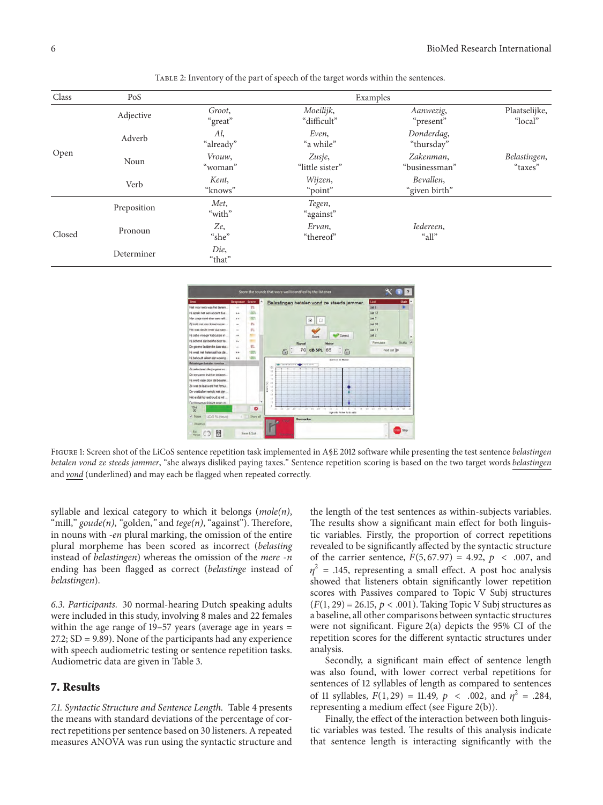| Class<br>Open | PoS         | Examples          |                           |                            |                          |
|---------------|-------------|-------------------|---------------------------|----------------------------|--------------------------|
|               | Adjective   | Groot,<br>"great" | Moeilijk,<br>"difficult"  | Aanwezig,<br>"present"     | Plaatselijke,<br>"local" |
|               | Adverb      | Al,<br>"already"  | Even,<br>"a while"        | Donderdag,<br>"thursday"   |                          |
|               | Noun        | Vrouw,<br>"woman" | Zusje,<br>"little sister" | Zakenman,<br>"businessman" | Belastingen,<br>"taxes"  |
|               | Verb        | Kent,<br>"knows"  | Wijzen,<br>"point"        | Bevallen,<br>"given birth" |                          |
| Closed        | Preposition | Met,<br>"with"    | Tegen,<br>"against"       |                            |                          |
|               | Pronoun     | Ze,<br>"she"      | Ervan,<br>"thereof"       | Iedereen,<br>"all"         |                          |
|               | Determiner  | Die,<br>"that"    |                           |                            |                          |

Table 2: Inventory of the part of speech of the target words within the sentences.



Figure 1: Screen shot of the LiCoS sentence repetition task implemented in A§E 2012 software while presenting the test sentence *belastingen betalen vond ze steeds jammer*, "she always disliked paying taxes." Sentence repetition scoring is based on the two target words *belastingen* and *vond* (underlined) and may each be flagged when repeated correctly.

syllable and lexical category to which it belongs (*mole(n)*, "mill," *goude(n)*, *"*golden,*"* and *tege(n)*, "against"). Therefore, in nouns with *-en* plural marking, the omission of the entire plural morpheme has been scored as incorrect (*belasting* instead of *belastingen*) whereas the omission of the *mere* -*n* ending has been flagged as correct (*belastinge* instead of *belastingen*).

*6.3. Participants.* 30 normal-hearing Dutch speaking adults were included in this study, involving 8 males and 22 females within the age range of 19–57 years (average age in years = 27.2; SD = 9.89). None of the participants had any experience with speech audiometric testing or sentence repetition tasks. Audiometric data are given in Table 3.

#### **7. Results**

*7.1. Syntactic Structure and Sentence Length.* Table 4 presents the means with standard deviations of the percentage of correct repetitions per sentence based on 30 listeners. A repeated measures ANOVA was run using the syntactic structure and

the length of the test sentences as within-subjects variables. The results show a significant main effect for both linguistic variables. Firstly, the proportion of correct repetitions revealed to be significantly affected by the syntactic structure of the carrier sentence,  $F(5, 67.97) = 4.92$ ,  $p < .007$ , and  $\eta^2$  = .145, representing a small effect. A post hoc analysis showed that listeners obtain significantly lower repetition scores with Passives compared to Topic V Subj structures  $(F(1, 29) = 26.15, p < .001)$ . Taking Topic V Subj structures as a baseline, all other comparisons between syntactic structures were not significant. Figure 2(a) depicts the 95% CI of the repetition scores for the different syntactic structures under analysis.

Secondly, a significant main effect of sentence length was also found, with lower correct verbal repetitions for sentences of 12 syllables of length as compared to sentences of 11 syllables,  $F(1, 29) = 11.49$ ,  $p \lt 0.002$ , and  $\eta^2 = 0.284$ , representing a medium effect (see Figure 2(b)).

Finally, the effect of the interaction between both linguistic variables was tested. The results of this analysis indicate that sentence length is interacting significantly with the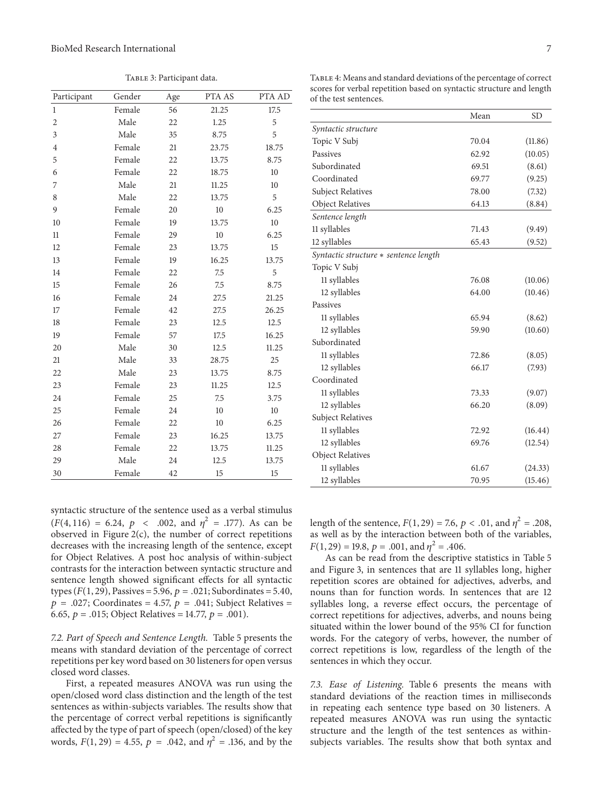Table 3: Participant data.

| Participant    | Gender | Age | PTA AS | PTA AD |
|----------------|--------|-----|--------|--------|
| $\mathbf{1}$   | Female | 56  | 21.25  | 17.5   |
| 2              | Male   | 22  | 1.25   | 5      |
| 3              | Male   | 35  | 8.75   | 5      |
| $\overline{4}$ | Female | 21  | 23.75  | 18.75  |
| 5              | Female | 22  | 13.75  | 8.75   |
| 6              | Female | 22  | 18.75  | 10     |
| 7              | Male   | 21  | 11.25  | 10     |
| 8              | Male   | 22  | 13.75  | 5      |
| 9              | Female | 20  | 10     | 6.25   |
| 10             | Female | 19  | 13.75  | 10     |
| 11             | Female | 29  | 10     | 6.25   |
| 12             | Female | 23  | 13.75  | 15     |
| 13             | Female | 19  | 16.25  | 13.75  |
| 14             | Female | 22  | 7.5    | 5      |
| 15             | Female | 26  | 7.5    | 8.75   |
| 16             | Female | 24  | 27.5   | 21.25  |
| 17             | Female | 42  | 27.5   | 26.25  |
| 18             | Female | 23  | 12.5   | 12.5   |
| 19             | Female | 57  | 17.5   | 16.25  |
| 20             | Male   | 30  | 12.5   | 11.25  |
| 21             | Male   | 33  | 28.75  | 25     |
| 22             | Male   | 23  | 13.75  | 8.75   |
| 23             | Female | 23  | 11.25  | 12.5   |
| 24             | Female | 25  | 7.5    | 3.75   |
| 25             | Female | 24  | 10     | 10     |
| 26             | Female | 22  | 10     | 6.25   |
| 27             | Female | 23  | 16.25  | 13.75  |
| 28             | Female | 22  | 13.75  | 11.25  |
| 29             | Male   | 24  | 12.5   | 13.75  |
| 30             | Female | 42  | 15     | 15     |

syntactic structure of the sentence used as a verbal stimulus  $(F(4, 116) = 6.24, p \lt 0.002, \text{ and } \eta^2 = .177)$ . As can be observed in Figure  $2(c)$ , the number of correct repetitions decreases with the increasing length of the sentence, except for Object Relatives. A post hoc analysis of within-subject contrasts for the interaction between syntactic structure and sentence length showed significant effects for all syntactic types ( $F(1, 29)$ , Passives = 5.96,  $p = .021$ ; Subordinates = 5.40,  $p = .027$ ; Coordinates = 4.57,  $p = .041$ ; Subject Relatives = 6.65,  $p = .015$ ; Object Relatives = 14.77,  $p = .001$ ).

*7.2. Part of Speech and Sentence Length.* Table 5 presents the means with standard deviation of the percentage of correct repetitions per key word based on 30 listeners for open versus closed word classes.

First, a repeated measures ANOVA was run using the open/closed word class distinction and the length of the test sentences as within-subjects variables. The results show that the percentage of correct verbal repetitions is significantly affected by the type of part of speech (open/closed) of the key words,  $F(1, 29) = 4.55$ ,  $p = .042$ , and  $\eta^2 = .136$ , and by the

Table 4: Means and standard deviations of the percentage of correct scores for verbal repetition based on syntactic structure and length of the test sentences.

|                                       | Mean  | <b>SD</b> |
|---------------------------------------|-------|-----------|
| Syntactic structure                   |       |           |
| Topic V Subj                          | 70.04 | (11.86)   |
| Passives                              | 62.92 | (10.05)   |
| Subordinated                          | 69.51 | (8.61)    |
| Coordinated                           | 69.77 | (9.25)    |
| Subject Relatives                     | 78.00 | (7.32)    |
| <b>Object Relatives</b>               | 64.13 | (8.84)    |
| Sentence length                       |       |           |
| 11 syllables                          | 71.43 | (9.49)    |
| 12 syllables                          | 65.43 | (9.52)    |
| Syntactic structure * sentence length |       |           |
| Topic V Subj                          |       |           |
| 11 syllables                          | 76.08 | (10.06)   |
| 12 syllables                          | 64.00 | (10.46)   |
| Passives                              |       |           |
| 11 syllables                          | 65.94 | (8.62)    |
| 12 syllables                          | 59.90 | (10.60)   |
| Subordinated                          |       |           |
| 11 syllables                          | 72.86 | (8.05)    |
| 12 syllables                          | 66.17 | (7.93)    |
| Coordinated                           |       |           |
| 11 syllables                          | 73.33 | (9.07)    |
| 12 syllables                          | 66.20 | (8.09)    |
| <b>Subject Relatives</b>              |       |           |
| 11 syllables                          | 72.92 | (16.44)   |
| 12 syllables                          | 69.76 | (12.54)   |
| <b>Object Relatives</b>               |       |           |
| 11 syllables                          | 61.67 | (24.33)   |
| 12 syllables                          | 70.95 | (15.46)   |

length of the sentence,  $F(1, 29) = 7.6$ ,  $p < .01$ , and  $\eta^2 = .208$ , as well as by the interaction between both of the variables,  $F(1, 29) = 19.8$ ,  $p = .001$ , and  $\eta^2 = .406$ .

As can be read from the descriptive statistics in Table 5 and Figure 3, in sentences that are 11 syllables long, higher repetition scores are obtained for adjectives, adverbs, and nouns than for function words. In sentences that are 12 syllables long, a reverse effect occurs, the percentage of correct repetitions for adjectives, adverbs, and nouns being situated within the lower bound of the 95% CI for function words. For the category of verbs, however, the number of correct repetitions is low, regardless of the length of the sentences in which they occur.

*7.3. Ease of Listening.* Table 6 presents the means with standard deviations of the reaction times in milliseconds in repeating each sentence type based on 30 listeners. A repeated measures ANOVA was run using the syntactic structure and the length of the test sentences as withinsubjects variables. The results show that both syntax and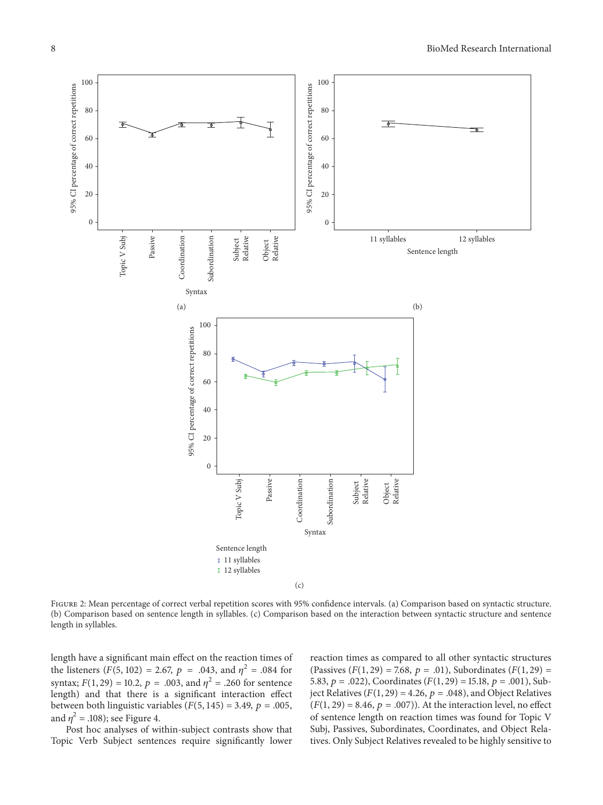

Figure 2: Mean percentage of correct verbal repetition scores with 95% confidence intervals. (a) Comparison based on syntactic structure. (b) Comparison based on sentence length in syllables. (c) Comparison based on the interaction between syntactic structure and sentence length in syllables.

length have a significant main effect on the reaction times of the listeners ( $F(5, 102) = 2.67$ ,  $p = .043$ , and  $\eta^2 = .084$  for syntax;  $F(1, 29) = 10.2$ ,  $p = .003$ , and  $\eta^2 = .260$  for sentence length) and that there is a significant interaction effect between both linguistic variables ( $F(5, 145) = 3.49$ ,  $p = .005$ , and  $\eta^2$  = .108); see Figure 4.

Post hoc analyses of within-subject contrasts show that Topic Verb Subject sentences require significantly lower

reaction times as compared to all other syntactic structures (Passives  $(F(1, 29) = 7.68, p = .01)$ , Subordinates  $(F(1, 29) =$ 5.83,  $p = .022$ ), Coordinates ( $F(1, 29) = 15.18$ ,  $p = .001$ ), Subject Relatives ( $F(1, 29) = 4.26$ ,  $p = .048$ ), and Object Relatives  $(F(1, 29) = 8.46, p = .007)$ . At the interaction level, no effect of sentence length on reaction times was found for Topic V Subj, Passives, Subordinates, Coordinates, and Object Relatives. Only Subject Relatives revealed to be highly sensitive to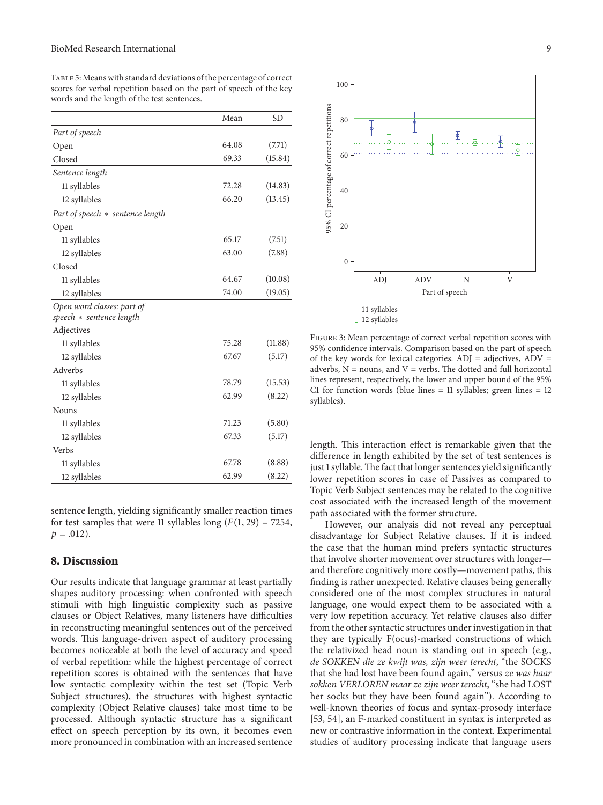Table 5: Means with standard deviations of the percentage of correct scores for verbal repetition based on the part of speech of the key words and the length of the test sentences.

|                                  | Mean  | <b>SD</b> |
|----------------------------------|-------|-----------|
| Part of speech                   |       |           |
| Open                             | 64.08 | (7.71)    |
| Closed                           | 69.33 | (15.84)   |
| Sentence length                  |       |           |
| 11 syllables                     | 72.28 | (14.83)   |
| 12 syllables                     | 66.20 | (13.45)   |
| Part of speech * sentence length |       |           |
| Open                             |       |           |
| 11 syllables                     | 65.17 | (7.51)    |
| 12 syllables                     | 63.00 | (7.88)    |
| Closed                           |       |           |
| 11 syllables                     | 64.67 | (10.08)   |
| 12 syllables                     | 74.00 | (19.05)   |
| Open word classes: part of       |       |           |
| speech * sentence length         |       |           |
| Adjectives                       |       |           |
| 11 syllables                     | 75.28 | (11.88)   |
| 12 syllables                     | 67.67 | (5.17)    |
| Adverbs                          |       |           |
| 11 syllables                     | 78.79 | (15.53)   |
| 12 syllables                     | 62.99 | (8.22)    |
| Nouns                            |       |           |
| 11 syllables                     | 71.23 | (5.80)    |
| 12 syllables                     | 67.33 | (5.17)    |
| Verbs                            |       |           |
| 11 syllables                     | 67.78 | (8.88)    |
| 12 syllables                     | 62.99 | (8.22)    |

sentence length, yielding significantly smaller reaction times for test samples that were 11 syllables long  $(F(1, 29) = 7254,$  $p = .012$ ).

#### **8. Discussion**

Our results indicate that language grammar at least partially shapes auditory processing: when confronted with speech stimuli with high linguistic complexity such as passive clauses or Object Relatives, many listeners have difficulties in reconstructing meaningful sentences out of the perceived words. This language-driven aspect of auditory processing becomes noticeable at both the level of accuracy and speed of verbal repetition: while the highest percentage of correct repetition scores is obtained with the sentences that have low syntactic complexity within the test set (Topic Verb Subject structures), the structures with highest syntactic complexity (Object Relative clauses) take most time to be processed. Although syntactic structure has a significant effect on speech perception by its own, it becomes even more pronounced in combination with an increased sentence



Figure 3: Mean percentage of correct verbal repetition scores with 95% confidence intervals. Comparison based on the part of speech of the key words for lexical categories.  $ADJ =$  adjectives,  $ADV =$ adverbs,  $N =$  nouns, and  $V =$  verbs. The dotted and full horizontal lines represent, respectively, the lower and upper bound of the 95% CI for function words (blue lines  $= 11$  syllables; green lines  $= 12$ syllables).

length. This interaction effect is remarkable given that the difference in length exhibited by the set of test sentences is just 1 syllable. The fact that longer sentences yield significantly lower repetition scores in case of Passives as compared to Topic Verb Subject sentences may be related to the cognitive cost associated with the increased length of the movement path associated with the former structure.

However, our analysis did not reveal any perceptual disadvantage for Subject Relative clauses. If it is indeed the case that the human mind prefers syntactic structures that involve shorter movement over structures with longer and therefore cognitively more costly—movement paths, this finding is rather unexpected. Relative clauses being generally considered one of the most complex structures in natural language, one would expect them to be associated with a very low repetition accuracy. Yet relative clauses also differ from the other syntactic structures under investigation in that they are typically F(ocus)-marked constructions of which the relativized head noun is standing out in speech (e.g*.*, *de SOKKEN die ze kwijt was, zijn weer terecht*, "the SOCKS that she had lost have been found again," versus *ze was haar sokken VERLOREN maar ze zijn weer terecht*, "she had LOST her socks but they have been found again"). According to well-known theories of focus and syntax-prosody interface [53, 54], an F-marked constituent in syntax is interpreted as new or contrastive information in the context. Experimental studies of auditory processing indicate that language users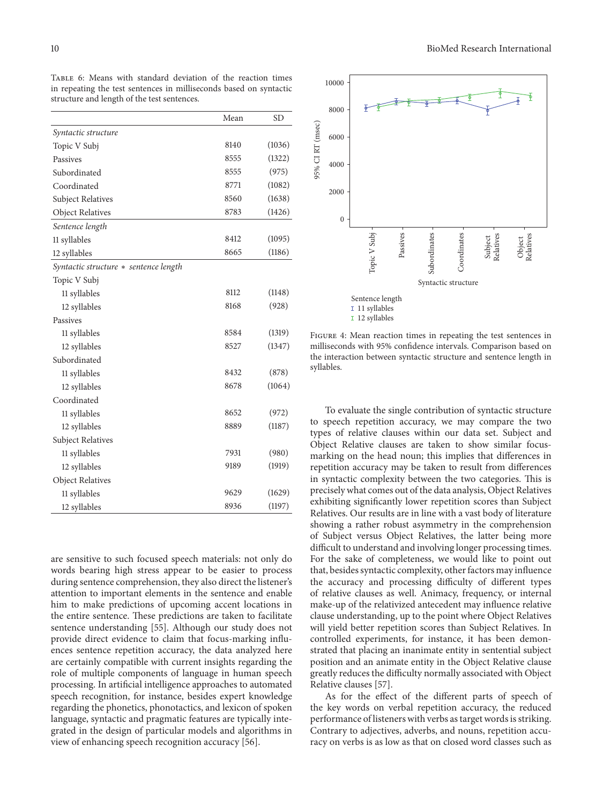Table 6: Means with standard deviation of the reaction times in repeating the test sentences in milliseconds based on syntactic structure and length of the test sentences.

|                                       | Mean | SD     |
|---------------------------------------|------|--------|
| Syntactic structure                   |      |        |
| Topic V Subj                          | 8140 | (1036) |
| Passives                              | 8555 | (1322) |
| Subordinated                          | 8555 | (975)  |
| Coordinated                           | 8771 | (1082) |
| Subject Relatives                     | 8560 | (1638) |
| <b>Object Relatives</b>               | 8783 | (1426) |
| Sentence length                       |      |        |
| 11 syllables                          | 8412 | (1095) |
| 12 syllables                          | 8665 | (1186) |
| Syntactic structure * sentence length |      |        |
| Topic V Subj                          |      |        |
| 11 syllables                          | 8112 | (1148) |
| 12 syllables                          | 8168 | (928)  |
| Passives                              |      |        |
| 11 syllables                          | 8584 | (1319) |
| 12 syllables                          | 8527 | (1347) |
| Subordinated                          |      |        |
| 11 syllables                          | 8432 | (878)  |
| 12 syllables                          | 8678 | (1064) |
| Coordinated                           |      |        |
| 11 syllables                          | 8652 | (972)  |
| 12 syllables                          | 8889 | (1187) |
| <b>Subject Relatives</b>              |      |        |
| 11 syllables                          | 7931 | (980)  |
| 12 syllables                          | 9189 | (1919) |
| <b>Object Relatives</b>               |      |        |
| 11 syllables                          | 9629 | (1629) |
| 12 syllables                          | 8936 | (1197) |

are sensitive to such focused speech materials: not only do words bearing high stress appear to be easier to process during sentence comprehension, they also direct the listener's attention to important elements in the sentence and enable him to make predictions of upcoming accent locations in the entire sentence. These predictions are taken to facilitate sentence understanding [55]. Although our study does not provide direct evidence to claim that focus-marking influences sentence repetition accuracy, the data analyzed here are certainly compatible with current insights regarding the role of multiple components of language in human speech processing. In artificial intelligence approaches to automated speech recognition, for instance, besides expert knowledge regarding the phonetics, phonotactics, and lexicon of spoken language, syntactic and pragmatic features are typically integrated in the design of particular models and algorithms in view of enhancing speech recognition accuracy [56].



Figure 4: Mean reaction times in repeating the test sentences in milliseconds with 95% confidence intervals. Comparison based on the interaction between syntactic structure and sentence length in syllables.

To evaluate the single contribution of syntactic structure to speech repetition accuracy, we may compare the two types of relative clauses within our data set. Subject and Object Relative clauses are taken to show similar focusmarking on the head noun; this implies that differences in repetition accuracy may be taken to result from differences in syntactic complexity between the two categories. This is precisely what comes out of the data analysis, Object Relatives exhibiting significantly lower repetition scores than Subject Relatives. Our results are in line with a vast body of literature showing a rather robust asymmetry in the comprehension of Subject versus Object Relatives, the latter being more difficult to understand and involving longer processing times. For the sake of completeness, we would like to point out that, besides syntactic complexity, other factors may influence the accuracy and processing difficulty of different types of relative clauses as well. Animacy, frequency, or internal make-up of the relativized antecedent may influence relative clause understanding, up to the point where Object Relatives will yield better repetition scores than Subject Relatives. In controlled experiments, for instance, it has been demonstrated that placing an inanimate entity in sentential subject position and an animate entity in the Object Relative clause greatly reduces the difficulty normally associated with Object Relative clauses [57].

As for the effect of the different parts of speech of the key words on verbal repetition accuracy, the reduced performance of listeners with verbs as target words is striking. Contrary to adjectives, adverbs, and nouns, repetition accuracy on verbs is as low as that on closed word classes such as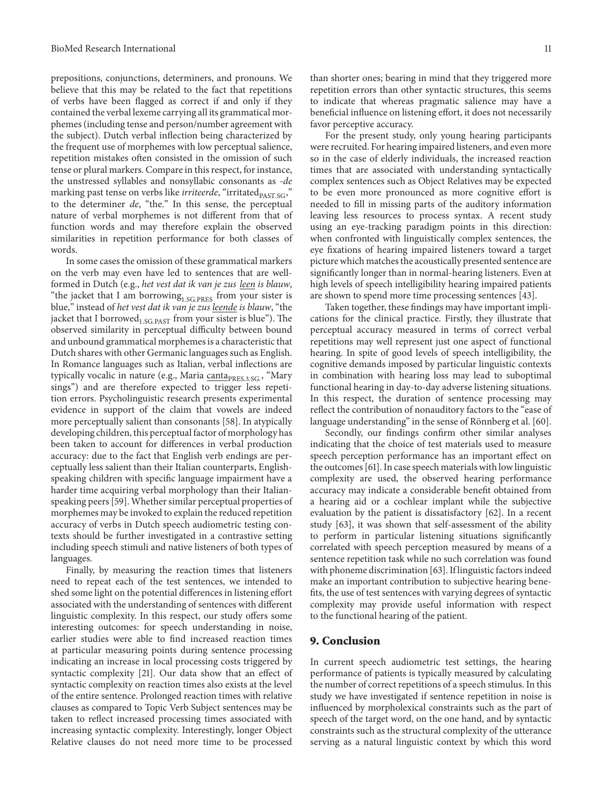prepositions, conjunctions, determiners, and pronouns. We believe that this may be related to the fact that repetitions of verbs have been flagged as correct if and only if they contained the verbal lexeme carrying all its grammatical morphemes (including tense and person/number agreement with the subject). Dutch verbal inflection being characterized by the frequent use of morphemes with low perceptual salience, repetition mistakes often consisted in the omission of such tense or plural markers. Compare in this respect, for instance, the unstressed syllables and nonsyllabic consonants as *-de* marking past tense on verbs like *irriteerde*, "irritated<sub>PAST.SG</sub>," to the determiner *de*, "the." In this sense, the perceptual nature of verbal morphemes is not different from that of function words and may therefore explain the observed similarities in repetition performance for both classes of words.

In some cases the omission of these grammatical markers on the verb may even have led to sentences that are wellformed in Dutch (e.g., *het vest dat ik van je zus leen is blauw*, "the jacket that I am borrowing $_{1.SG.PRES}$  from your sister is blue," instead of *het vest dat ik van je zus leende is blauw*, "the jacket that I borrowed $_{1.8G.PAST}$  from your sister is blue"). The observed similarity in perceptual difficulty between bound and unbound grammatical morphemes is a characteristic that Dutch shares with other Germanic languages such as English. In Romance languages such as Italian, verbal inflections are typically vocalic in nature (e.g., Maria <u>canta<sub>PRES.3.SG.</u>, "Mary</u></sub> sings") and are therefore expected to trigger less repetition errors. Psycholinguistic research presents experimental evidence in support of the claim that vowels are indeed more perceptually salient than consonants [58]. In atypically developing children, this perceptual factor of morphology has been taken to account for differences in verbal production accuracy: due to the fact that English verb endings are perceptually less salient than their Italian counterparts, Englishspeaking children with specific language impairment have a harder time acquiring verbal morphology than their Italianspeaking peers [59]. Whether similar perceptual properties of morphemes may be invoked to explain the reduced repetition accuracy of verbs in Dutch speech audiometric testing contexts should be further investigated in a contrastive setting including speech stimuli and native listeners of both types of languages.

Finally, by measuring the reaction times that listeners need to repeat each of the test sentences, we intended to shed some light on the potential differences in listening effort associated with the understanding of sentences with different linguistic complexity. In this respect, our study offers some interesting outcomes: for speech understanding in noise, earlier studies were able to find increased reaction times at particular measuring points during sentence processing indicating an increase in local processing costs triggered by syntactic complexity [21]. Our data show that an effect of syntactic complexity on reaction times also exists at the level of the entire sentence. Prolonged reaction times with relative clauses as compared to Topic Verb Subject sentences may be taken to reflect increased processing times associated with increasing syntactic complexity. Interestingly, longer Object Relative clauses do not need more time to be processed

than shorter ones; bearing in mind that they triggered more repetition errors than other syntactic structures, this seems to indicate that whereas pragmatic salience may have a beneficial influence on listening effort, it does not necessarily favor perceptive accuracy.

For the present study, only young hearing participants were recruited. For hearing impaired listeners, and even more so in the case of elderly individuals, the increased reaction times that are associated with understanding syntactically complex sentences such as Object Relatives may be expected to be even more pronounced as more cognitive effort is needed to fill in missing parts of the auditory information leaving less resources to process syntax. A recent study using an eye-tracking paradigm points in this direction: when confronted with linguistically complex sentences, the eye fixations of hearing impaired listeners toward a target picture which matches the acoustically presented sentence are significantly longer than in normal-hearing listeners. Even at high levels of speech intelligibility hearing impaired patients are shown to spend more time processing sentences [43].

Taken together, these findings may have important implications for the clinical practice. Firstly, they illustrate that perceptual accuracy measured in terms of correct verbal repetitions may well represent just one aspect of functional hearing. In spite of good levels of speech intelligibility, the cognitive demands imposed by particular linguistic contexts in combination with hearing loss may lead to suboptimal functional hearing in day-to-day adverse listening situations. In this respect, the duration of sentence processing may reflect the contribution of nonauditory factors to the "ease of language understanding" in the sense of Rönnberg et al. [60].

Secondly, our findings confirm other similar analyses indicating that the choice of test materials used to measure speech perception performance has an important effect on the outcomes [61]. In case speech materials with low linguistic complexity are used, the observed hearing performance accuracy may indicate a considerable benefit obtained from a hearing aid or a cochlear implant while the subjective evaluation by the patient is dissatisfactory [62]. In a recent study [63], it was shown that self-assessment of the ability to perform in particular listening situations significantly correlated with speech perception measured by means of a sentence repetition task while no such correlation was found with phoneme discrimination [63]. If linguistic factors indeed make an important contribution to subjective hearing benefits, the use of test sentences with varying degrees of syntactic complexity may provide useful information with respect to the functional hearing of the patient.

#### **9. Conclusion**

In current speech audiometric test settings, the hearing performance of patients is typically measured by calculating the number of correct repetitions of a speech stimulus. In this study we have investigated if sentence repetition in noise is influenced by morpholexical constraints such as the part of speech of the target word, on the one hand, and by syntactic constraints such as the structural complexity of the utterance serving as a natural linguistic context by which this word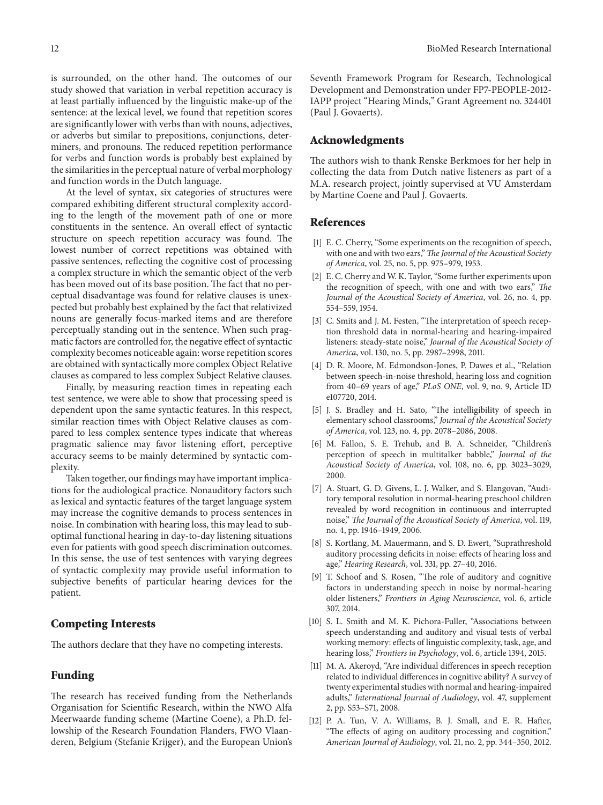is surrounded, on the other hand. The outcomes of our study showed that variation in verbal repetition accuracy is at least partially influenced by the linguistic make-up of the sentence: at the lexical level, we found that repetition scores are significantly lower with verbs than with nouns, adjectives, or adverbs but similar to prepositions, conjunctions, determiners, and pronouns. The reduced repetition performance for verbs and function words is probably best explained by the similarities in the perceptual nature of verbal morphology and function words in the Dutch language.

At the level of syntax, six categories of structures were compared exhibiting different structural complexity according to the length of the movement path of one or more constituents in the sentence. An overall effect of syntactic structure on speech repetition accuracy was found. The lowest number of correct repetitions was obtained with passive sentences, reflecting the cognitive cost of processing a complex structure in which the semantic object of the verb has been moved out of its base position. The fact that no perceptual disadvantage was found for relative clauses is unexpected but probably best explained by the fact that relativized nouns are generally focus-marked items and are therefore perceptually standing out in the sentence. When such pragmatic factors are controlled for, the negative effect of syntactic complexity becomes noticeable again: worse repetition scores are obtained with syntactically more complex Object Relative clauses as compared to less complex Subject Relative clauses.

Finally, by measuring reaction times in repeating each test sentence, we were able to show that processing speed is dependent upon the same syntactic features. In this respect, similar reaction times with Object Relative clauses as compared to less complex sentence types indicate that whereas pragmatic salience may favor listening effort, perceptive accuracy seems to be mainly determined by syntactic complexity.

Taken together, our findings may have important implications for the audiological practice. Nonauditory factors such as lexical and syntactic features of the target language system may increase the cognitive demands to process sentences in noise. In combination with hearing loss, this may lead to suboptimal functional hearing in day-to-day listening situations even for patients with good speech discrimination outcomes. In this sense, the use of test sentences with varying degrees of syntactic complexity may provide useful information to subjective benefits of particular hearing devices for the patient.

# **Competing Interests**

The authors declare that they have no competing interests.

#### **Funding**

The research has received funding from the Netherlands Organisation for Scientific Research, within the NWO Alfa Meerwaarde funding scheme (Martine Coene), a Ph.D. fellowship of the Research Foundation Flanders, FWO Vlaanderen, Belgium (Stefanie Krijger), and the European Union's Seventh Framework Program for Research, Technological Development and Demonstration under FP7-PEOPLE-2012- IAPP project "Hearing Minds," Grant Agreement no. 324401 (Paul J. Govaerts).

#### **Acknowledgments**

The authors wish to thank Renske Berkmoes for her help in collecting the data from Dutch native listeners as part of a M.A. research project, jointly supervised at VU Amsterdam by Martine Coene and Paul J. Govaerts.

#### **References**

- [1] E. C. Cherry, "Some experiments on the recognition of speech, with one and with two ears,"*The Journal of the Acoustical Society of America*, vol. 25, no. 5, pp. 975–979, 1953.
- [2] E. C. Cherry and W. K. Taylor, "Some further experiments upon the recognition of speech, with one and with two ears," *The Journal of the Acoustical Society of America*, vol. 26, no. 4, pp. 554–559, 1954.
- [3] C. Smits and J. M. Festen, "The interpretation of speech reception threshold data in normal-hearing and hearing-impaired listeners: steady-state noise," *Journal of the Acoustical Society of America*, vol. 130, no. 5, pp. 2987–2998, 2011.
- [4] D. R. Moore, M. Edmondson-Jones, P. Dawes et al., "Relation between speech-in-noise threshold, hearing loss and cognition from 40–69 years of age," *PLoS ONE*, vol. 9, no. 9, Article ID e107720, 2014.
- [5] J. S. Bradley and H. Sato, "The intelligibility of speech in elementary school classrooms," *Journal of the Acoustical Society of America*, vol. 123, no. 4, pp. 2078–2086, 2008.
- [6] M. Fallon, S. E. Trehub, and B. A. Schneider, "Children's perception of speech in multitalker babble," *Journal of the Acoustical Society of America*, vol. 108, no. 6, pp. 3023–3029, 2000.
- [7] A. Stuart, G. D. Givens, L. J. Walker, and S. Elangovan, "Auditory temporal resolution in normal-hearing preschool children revealed by word recognition in continuous and interrupted noise," *The Journal of the Acoustical Society of America*, vol. 119, no. 4, pp. 1946–1949, 2006.
- [8] S. Kortlang, M. Mauermann, and S. D. Ewert, "Suprathreshold auditory processing deficits in noise: effects of hearing loss and age," *Hearing Research*, vol. 331, pp. 27–40, 2016.
- [9] T. Schoof and S. Rosen, "The role of auditory and cognitive factors in understanding speech in noise by normal-hearing older listeners," *Frontiers in Aging Neuroscience*, vol. 6, article 307, 2014.
- [10] S. L. Smith and M. K. Pichora-Fuller, "Associations between speech understanding and auditory and visual tests of verbal working memory: effects of linguistic complexity, task, age, and hearing loss," *Frontiers in Psychology*, vol. 6, article 1394, 2015.
- [11] M. A. Akeroyd, "Are individual differences in speech reception related to individual differences in cognitive ability? A survey of twenty experimental studies with normal and hearing-impaired adults," *International Journal of Audiology*, vol. 47, supplement 2, pp. S53–S71, 2008.
- [12] P. A. Tun, V. A. Williams, B. J. Small, and E. R. Hafter, "The effects of aging on auditory processing and cognition," *American Journal of Audiology*, vol. 21, no. 2, pp. 344–350, 2012.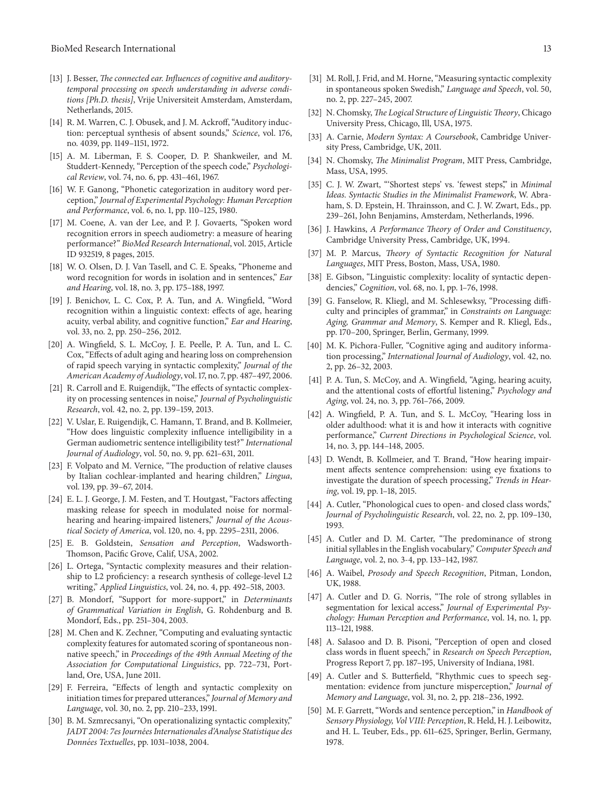- [13] J. Besser, *The connected ear. Influences of cognitive and auditorytemporal processing on speech understanding in adverse conditions [Ph.D. thesis]*, Vrije Universiteit Amsterdam, Amsterdam, Netherlands, 2015.
- [14] R. M. Warren, C. J. Obusek, and J. M. Ackroff, "Auditory induction: perceptual synthesis of absent sounds," *Science*, vol. 176, no. 4039, pp. 1149–1151, 1972.
- [15] A. M. Liberman, F. S. Cooper, D. P. Shankweiler, and M. Studdert-Kennedy, "Perception of the speech code," *Psychological Review*, vol. 74, no. 6, pp. 431–461, 1967.
- [16] W. F. Ganong, "Phonetic categorization in auditory word perception," *Journal of Experimental Psychology: Human Perception and Performance*, vol. 6, no. 1, pp. 110–125, 1980.
- [17] M. Coene, A. van der Lee, and P. J. Govaerts, "Spoken word recognition errors in speech audiometry: a measure of hearing performance?" *BioMed Research International*, vol. 2015, Article ID 932519, 8 pages, 2015.
- [18] W. O. Olsen, D. J. Van Tasell, and C. E. Speaks, "Phoneme and word recognition for words in isolation and in sentences," *Ear and Hearing*, vol. 18, no. 3, pp. 175–188, 1997.
- [19] J. Benichov, L. C. Cox, P. A. Tun, and A. Wingfield, "Word recognition within a linguistic context: effects of age, hearing acuity, verbal ability, and cognitive function," *Ear and Hearing*, vol. 33, no. 2, pp. 250–256, 2012.
- [20] A. Wingfield, S. L. McCoy, J. E. Peelle, P. A. Tun, and L. C. Cox, "Effects of adult aging and hearing loss on comprehension of rapid speech varying in syntactic complexity," *Journal of the American Academy of Audiology*, vol. 17, no. 7, pp. 487–497, 2006.
- [21] R. Carroll and E. Ruigendijk, "The effects of syntactic complexity on processing sentences in noise," *Journal of Psycholinguistic Research*, vol. 42, no. 2, pp. 139–159, 2013.
- [22] V. Uslar, E. Ruigendijk, C. Hamann, T. Brand, and B. Kollmeier, "How does linguistic complexity influence intelligibility in a German audiometric sentence intelligibility test?" *International Journal of Audiology*, vol. 50, no. 9, pp. 621–631, 2011.
- [23] F. Volpato and M. Vernice, "The production of relative clauses by Italian cochlear-implanted and hearing children," *Lingua*, vol. 139, pp. 39–67, 2014.
- [24] E. L. J. George, J. M. Festen, and T. Houtgast, "Factors affecting masking release for speech in modulated noise for normalhearing and hearing-impaired listeners," *Journal of the Acoustical Society of America*, vol. 120, no. 4, pp. 2295–2311, 2006.
- [25] E. B. Goldstein, *Sensation and Perception*, Wadsworth-Thomson, Pacific Grove, Calif, USA, 2002.
- [26] L. Ortega, "Syntactic complexity measures and their relationship to L2 proficiency: a research synthesis of college-level L2 writing," *Applied Linguistics*, vol. 24, no. 4, pp. 492–518, 2003.
- [27] B. Mondorf, "Support for more-support," in *Determinants of Grammatical Variation in English*, G. Rohdenburg and B. Mondorf, Eds., pp. 251–304, 2003.
- [28] M. Chen and K. Zechner, "Computing and evaluating syntactic complexity features for automated scoring of spontaneous nonnative speech," in *Proceedings of the 49th Annual Meeting of the Association for Computational Linguistics*, pp. 722–731, Portland, Ore, USA, June 2011.
- [29] F. Ferreira, "Effects of length and syntactic complexity on initiation times for prepared utterances," *Journal of Memory and Language*, vol. 30, no. 2, pp. 210–233, 1991.
- [30] B. M. Szmrecsanyi, "On operationalizing syntactic complexity," *JADT 2004: 7es Journees Internationales d'Analyse Statistique des ´ Donnees Textuelles ´* , pp. 1031–1038, 2004.
- [31] M. Roll, J. Frid, and M. Horne, "Measuring syntactic complexity in spontaneous spoken Swedish," *Language and Speech*, vol. 50, no. 2, pp. 227–245, 2007.
- [32] N. Chomsky, *The Logical Structure of Linguistic Theory*, Chicago University Press, Chicago, Ill, USA, 1975.
- [33] A. Carnie, *Modern Syntax: A Coursebook*, Cambridge University Press, Cambridge, UK, 2011.
- [34] N. Chomsky, *The Minimalist Program*, MIT Press, Cambridge, Mass, USA, 1995.
- [35] C. J. W. Zwart, "'Shortest steps' vs. 'fewest steps," in *Minimal Ideas. Syntactic Studies in the Minimalist Framework*, W. Abraham, S. D. Epstein, H. Thrainsson, and C. J. W. Zwart, Eds., pp. 239–261, John Benjamins, Amsterdam, Netherlands, 1996.
- [36] J. Hawkins, *A Performance Theory of Order and Constituency*, Cambridge University Press, Cambridge, UK, 1994.
- [37] M. P. Marcus, *Theory of Syntactic Recognition for Natural Languages*, MIT Press, Boston, Mass, USA, 1980.
- [38] E. Gibson, "Linguistic complexity: locality of syntactic dependencies," *Cognition*, vol. 68, no. 1, pp. 1–76, 1998.
- [39] G. Fanselow, R. Kliegl, and M. Schlesewksy, "Processing difficulty and principles of grammar," in *Constraints on Language: Aging, Grammar and Memory*, S. Kemper and R. Kliegl, Eds., pp. 170–200, Springer, Berlin, Germany, 1999.
- [40] M. K. Pichora-Fuller, "Cognitive aging and auditory information processing," *International Journal of Audiology*, vol. 42, no. 2, pp. 26–32, 2003.
- [41] P. A. Tun, S. McCoy, and A. Wingfield, "Aging, hearing acuity, and the attentional costs of effortful listening," *Psychology and Aging*, vol. 24, no. 3, pp. 761–766, 2009.
- [42] A. Wingfield, P. A. Tun, and S. L. McCoy, "Hearing loss in older adulthood: what it is and how it interacts with cognitive performance," *Current Directions in Psychological Science*, vol. 14, no. 3, pp. 144–148, 2005.
- [43] D. Wendt, B. Kollmeier, and T. Brand, "How hearing impairment affects sentence comprehension: using eye fixations to investigate the duration of speech processing," *Trends in Hearing*, vol. 19, pp. 1–18, 2015.
- [44] A. Cutler, "Phonological cues to open- and closed class words," *Journal of Psycholinguistic Research*, vol. 22, no. 2, pp. 109–130, 1993.
- [45] A. Cutler and D. M. Carter, "The predominance of strong initial syllables in the English vocabulary," *Computer Speech and Language*, vol. 2, no. 3-4, pp. 133–142, 1987.
- [46] A. Waibel, *Prosody and Speech Recognition*, Pitman, London, UK, 1988.
- [47] A. Cutler and D. G. Norris, "The role of strong syllables in segmentation for lexical access," *Journal of Experimental Psychology: Human Perception and Performance*, vol. 14, no. 1, pp. 113–121, 1988.
- [48] A. Salasoo and D. B. Pisoni, "Perception of open and closed class words in fluent speech," in *Research on Speech Perception*, Progress Report 7, pp. 187–195, University of Indiana, 1981.
- [49] A. Cutler and S. Butterfield, "Rhythmic cues to speech segmentation: evidence from juncture misperception," *Journal of Memory and Language*, vol. 31, no. 2, pp. 218–236, 1992.
- [50] M. F. Garrett, "Words and sentence perception," in *Handbook of Sensory Physiology, Vol VIII: Perception*, R. Held, H. J. Leibowitz, and H. L. Teuber, Eds., pp. 611–625, Springer, Berlin, Germany, 1978.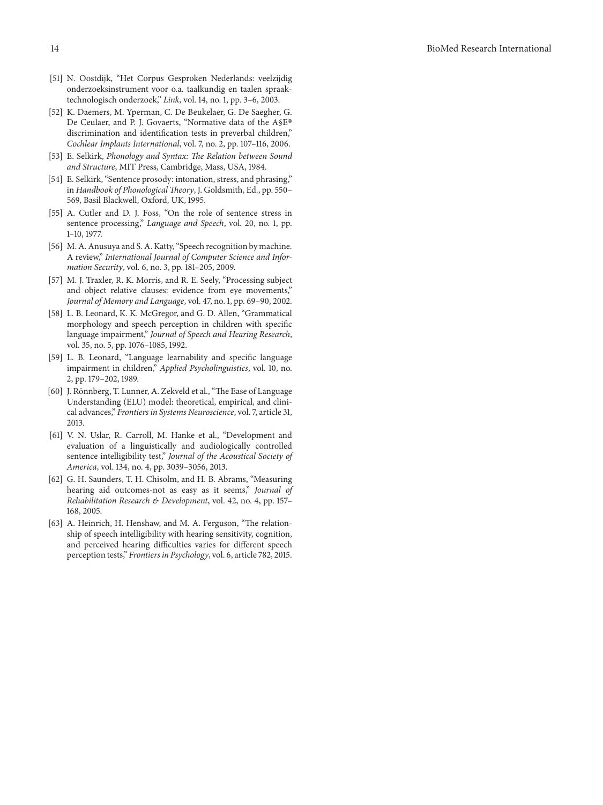- [51] N. Oostdijk, "Het Corpus Gesproken Nederlands: veelzijdig onderzoeksinstrument voor o.a. taalkundig en taalen spraaktechnologisch onderzoek," *Link*, vol. 14, no. 1, pp. 3–6, 2003.
- [52] K. Daemers, M. Yperman, C. De Beukelaer, G. De Saegher, G. De Ceulaer, and P. J. Govaerts, "Normative data of the A§E® discrimination and identification tests in preverbal children," *Cochlear Implants International*, vol. 7, no. 2, pp. 107–116, 2006.
- [53] E. Selkirk, *Phonology and Syntax: The Relation between Sound and Structure*, MIT Press, Cambridge, Mass, USA, 1984.
- [54] E. Selkirk, "Sentence prosody: intonation, stress, and phrasing," in *Handbook of Phonological Theory*, J. Goldsmith, Ed., pp. 550– 569, Basil Blackwell, Oxford, UK, 1995.
- [55] A. Cutler and D. J. Foss, "On the role of sentence stress in sentence processing," *Language and Speech*, vol. 20, no. 1, pp. 1–10, 1977.
- [56] M. A. Anusuya and S. A. Katty, "Speech recognition by machine. A review," *International Journal of Computer Science and Information Security*, vol. 6, no. 3, pp. 181–205, 2009.
- [57] M. J. Traxler, R. K. Morris, and R. E. Seely, "Processing subject and object relative clauses: evidence from eye movements," *Journal of Memory and Language*, vol. 47, no. 1, pp. 69–90, 2002.
- [58] L. B. Leonard, K. K. McGregor, and G. D. Allen, "Grammatical morphology and speech perception in children with specific language impairment," *Journal of Speech and Hearing Research*, vol. 35, no. 5, pp. 1076–1085, 1992.
- [59] L. B. Leonard, "Language learnability and specific language impairment in children," *Applied Psycholinguistics*, vol. 10, no. 2, pp. 179–202, 1989.
- [60] J. Rönnberg, T. Lunner, A. Zekveld et al., "The Ease of Language Understanding (ELU) model: theoretical, empirical, and clinical advances," *Frontiers in Systems Neuroscience*, vol. 7, article 31, 2013.
- [61] V. N. Uslar, R. Carroll, M. Hanke et al., "Development and evaluation of a linguistically and audiologically controlled sentence intelligibility test," *Journal of the Acoustical Society of America*, vol. 134, no. 4, pp. 3039–3056, 2013.
- [62] G. H. Saunders, T. H. Chisolm, and H. B. Abrams, "Measuring hearing aid outcomes-not as easy as it seems," *Journal of Rehabilitation Research & Development*, vol. 42, no. 4, pp. 157– 168, 2005.
- [63] A. Heinrich, H. Henshaw, and M. A. Ferguson, "The relationship of speech intelligibility with hearing sensitivity, cognition, and perceived hearing difficulties varies for different speech perception tests," *Frontiers in Psychology*, vol. 6, article 782, 2015.